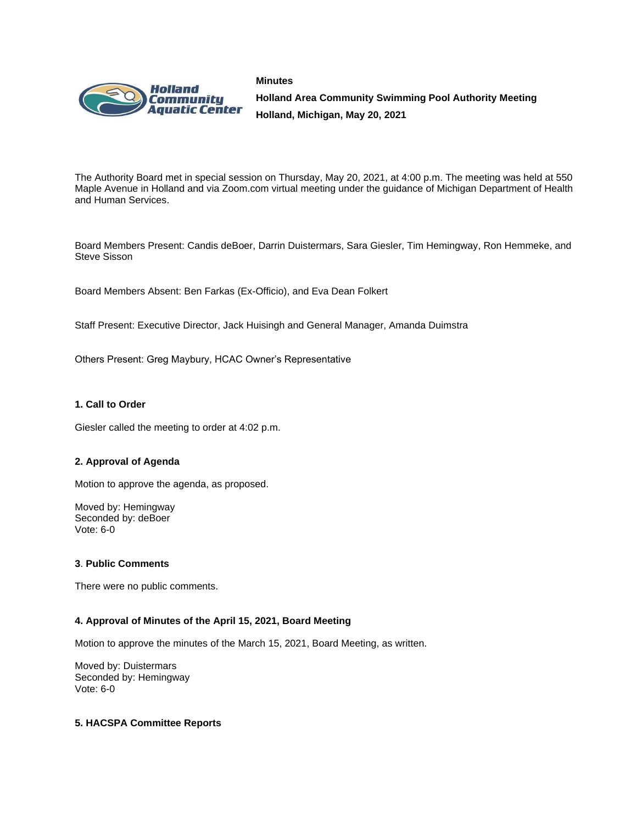



**Holland Area Community Swimming Pool Authority Meeting Holland, Michigan, May 20, 2021**

The Authority Board met in special session on Thursday, May 20, 2021, at 4:00 p.m. The meeting was held at 550 Maple Avenue in Holland and via Zoom.com virtual meeting under the guidance of Michigan Department of Health and Human Services.

Board Members Present: Candis deBoer, Darrin Duistermars, Sara Giesler, Tim Hemingway, Ron Hemmeke, and Steve Sisson

Board Members Absent: Ben Farkas (Ex-Officio), and Eva Dean Folkert

Staff Present: Executive Director, Jack Huisingh and General Manager, Amanda Duimstra

Others Present: Greg Maybury, HCAC Owner's Representative

### **1. Call to Order**

Giesler called the meeting to order at 4:02 p.m.

### **2. Approval of Agenda**

Motion to approve the agenda, as proposed.

Moved by: Hemingway Seconded by: deBoer Vote: 6-0

### **3**. **Public Comments**

There were no public comments.

### **4. Approval of Minutes of the April 15, 2021, Board Meeting**

Motion to approve the minutes of the March 15, 2021, Board Meeting, as written.

Moved by: Duistermars Seconded by: Hemingway Vote: 6-0

### **5. HACSPA Committee Reports**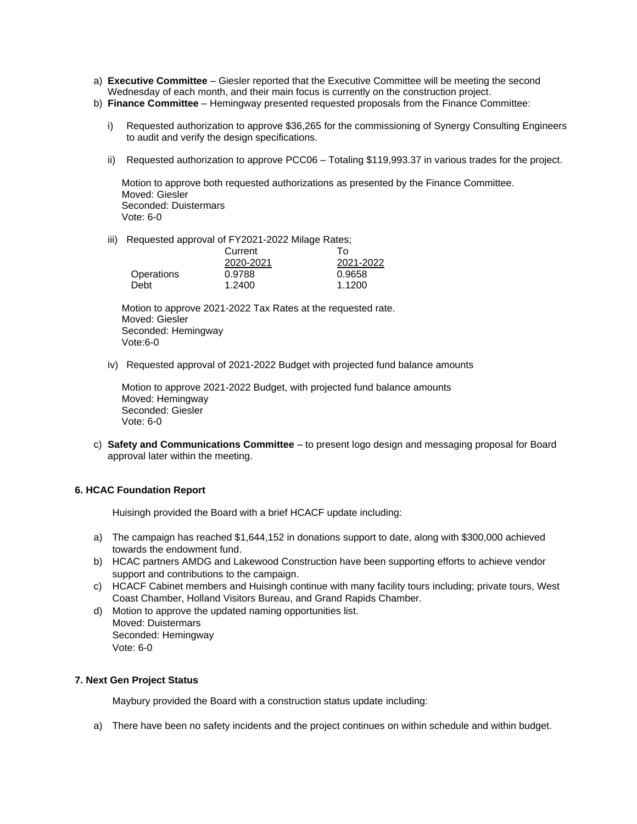- a) **Executive Committee** Giesler reported that the Executive Committee will be meeting the second Wednesday of each month, and their main focus is currently on the construction project.
- b) **Finance Committee** Hemingway presented requested proposals from the Finance Committee:
	- i) Requested authorization to approve \$36,265 for the commissioning of Synergy Consulting Engineers to audit and verify the design specifications.
	- ii) Requested authorization to approve PCC06 Totaling \$119,993.37 in various trades for the project.

Motion to approve both requested authorizations as presented by the Finance Committee. Moved: Giesler Seconded: Duistermars Vote: 6-0

iii) Requested approval of FY2021-2022 Milage Rates;

|            | Current   | To:       |
|------------|-----------|-----------|
|            | 2020-2021 | 2021-2022 |
| Operations | 0.9788    | 0.9658    |
| Debt       | 1.2400    | 1.1200    |

Motion to approve 2021-2022 Tax Rates at the requested rate. Moved: Giesler Seconded: Hemingway Vote:6-0

iv) Requested approval of 2021-2022 Budget with projected fund balance amounts

Motion to approve 2021-2022 Budget, with projected fund balance amounts Moved: Hemingway Seconded: Giesler Vote: 6-0

c) **Safety and Communications Committee** – to present logo design and messaging proposal for Board approval later within the meeting.

### **6. HCAC Foundation Report**

Huisingh provided the Board with a brief HCACF update including:

- a) The campaign has reached \$1,644,152 in donations support to date, along with \$300,000 achieved towards the endowment fund.
- b) HCAC partners AMDG and Lakewood Construction have been supporting efforts to achieve vendor support and contributions to the campaign.
- c) HCACF Cabinet members and Huisingh continue with many facility tours including; private tours, West Coast Chamber, Holland Visitors Bureau, and Grand Rapids Chamber.
- d) Motion to approve the updated naming opportunities list.
	- Moved: Duistermars Seconded: Hemingway Vote: 6-0

### **7. Next Gen Project Status**

Maybury provided the Board with a construction status update including:

a) There have been no safety incidents and the project continues on within schedule and within budget.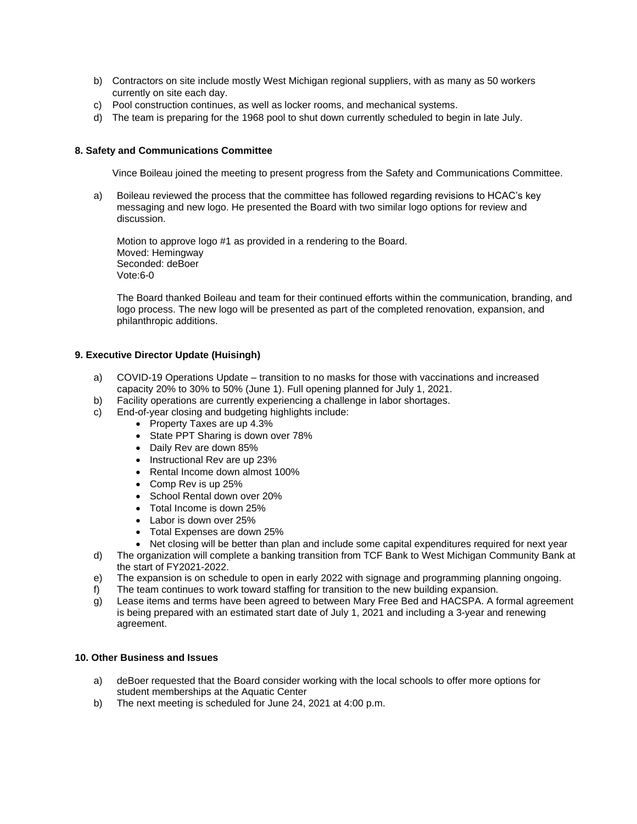- b) Contractors on site include mostly West Michigan regional suppliers, with as many as 50 workers currently on site each day.
- c) Pool construction continues, as well as locker rooms, and mechanical systems.
- d) The team is preparing for the 1968 pool to shut down currently scheduled to begin in late July.

### **8. Safety and Communications Committee**

Vince Boileau joined the meeting to present progress from the Safety and Communications Committee.

a) Boileau reviewed the process that the committee has followed regarding revisions to HCAC's key messaging and new logo. He presented the Board with two similar logo options for review and discussion.

Motion to approve logo #1 as provided in a rendering to the Board. Moved: Hemingway Seconded: deBoer Vote:6-0

The Board thanked Boileau and team for their continued efforts within the communication, branding, and logo process. The new logo will be presented as part of the completed renovation, expansion, and philanthropic additions.

## **9. Executive Director Update (Huisingh)**

- a) COVID-19 Operations Update transition to no masks for those with vaccinations and increased capacity 20% to 30% to 50% (June 1). Full opening planned for July 1, 2021.
- b) Facility operations are currently experiencing a challenge in labor shortages.
- c) End-of-year closing and budgeting highlights include:
	- Property Taxes are up 4.3%
	- State PPT Sharing is down over 78%
	- Daily Rev are down 85%
	- Instructional Rev are up 23%
	- Rental Income down almost 100%
	- Comp Rev is up 25%
	- School Rental down over 20%
	- Total Income is down 25%
	- Labor is down over 25%
	- Total Expenses are down 25%
	- Net closing will be better than plan and include some capital expenditures required for next year
- d) The organization will complete a banking transition from TCF Bank to West Michigan Community Bank at the start of FY2021-2022.
- e) The expansion is on schedule to open in early 2022 with signage and programming planning ongoing.
- f) The team continues to work toward staffing for transition to the new building expansion.
- g) Lease items and terms have been agreed to between Mary Free Bed and HACSPA. A formal agreement is being prepared with an estimated start date of July 1, 2021 and including a 3-year and renewing agreement.

### **10. Other Business and Issues**

- a) deBoer requested that the Board consider working with the local schools to offer more options for student memberships at the Aquatic Center
- b) The next meeting is scheduled for June 24, 2021 at 4:00 p.m.